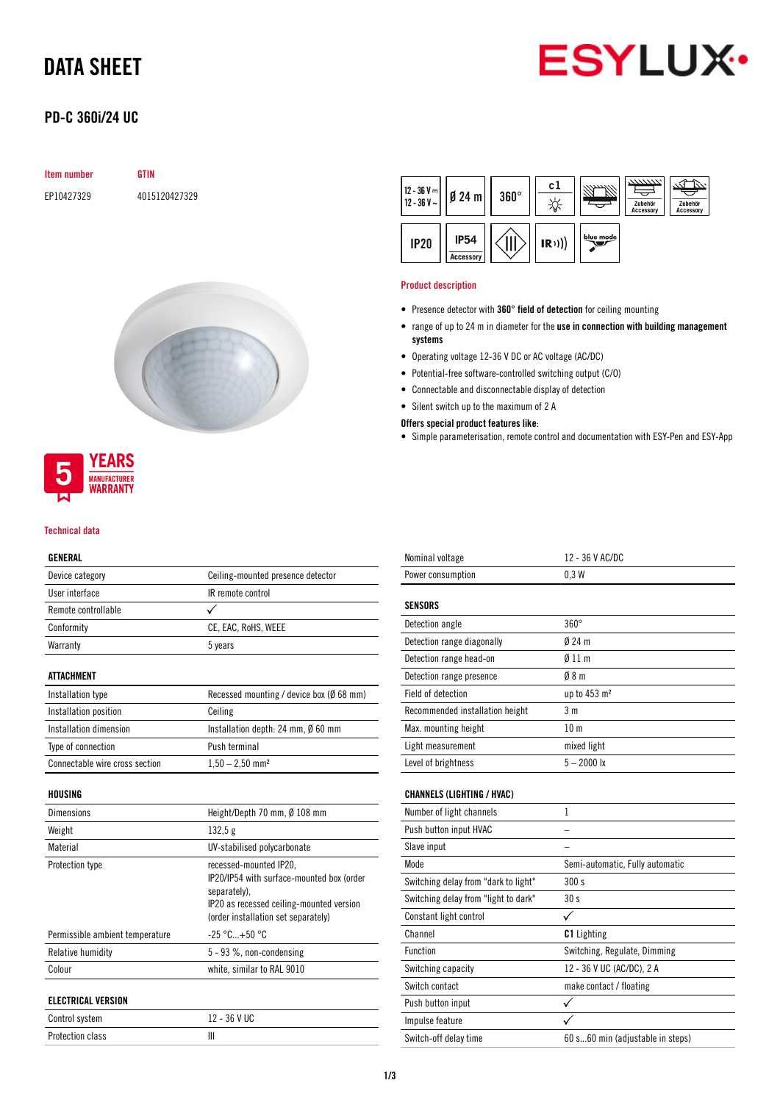# DATA SHEET



## PD-C 360i/24 UC

### Item number GTIN

EP10427329 4015120427329





#### Technical data

### GENERAL

| uliilinu               |                                              |  |
|------------------------|----------------------------------------------|--|
| Device category        | Ceiling-mounted presence detector            |  |
| User interface         | IR remote control                            |  |
| Remote controllable    |                                              |  |
| Conformity             | CE, EAC, RoHS, WEEE                          |  |
| Warranty               | 5 years                                      |  |
| <b>ATTACHMENT</b>      |                                              |  |
| Installation type      | Recessed mounting / device box (Ø 68 mm)     |  |
| Installation position  | Ceiling                                      |  |
| Installation dimension | Installation depth: 24 mm, $\emptyset$ 60 mm |  |
| Type of connection     | Push terminal                                |  |
|                        |                                              |  |

Connectable wire cross section  $1,50 - 2,50$  mm<sup>2</sup>

### HOUSING

| Dimensions                                         | Height/Depth 70 mm, Ø 108 mm                                                                                                                                           |  |
|----------------------------------------------------|------------------------------------------------------------------------------------------------------------------------------------------------------------------------|--|
| Weight                                             | 132,5g                                                                                                                                                                 |  |
| Material                                           | UV-stabilised polycarbonate                                                                                                                                            |  |
| Protection type<br>Permissible ambient temperature | recessed-mounted IP20,<br>IP20/IP54 with surface-mounted box (order<br>separately).<br>IP20 as recessed ceiling-mounted version<br>(order installation set separately) |  |
|                                                    | $-25 °C+50 °C$                                                                                                                                                         |  |
| Relative humidity                                  | 5 - 93 %, non-condensing                                                                                                                                               |  |
| Colour                                             | white, similar to RAL 9010                                                                                                                                             |  |
| <b>ELECTRICAL VERSION</b>                          |                                                                                                                                                                        |  |
| Control system                                     | 12 - 36 V UC                                                                                                                                                           |  |
| <b>Protection class</b>                            | Ш                                                                                                                                                                      |  |



#### Product description

- Presence detector with 360° field of detection for ceiling mounting
- range of up to 24 m in diameter for the use in connection with building management systems
- Operating voltage 12-36 V DC or AC voltage (AC/DC)
- Potential-free software-controlled switching output (C/O)
- Connectable and disconnectable display of detection
- Silent switch up to the maximum of 2 A

### Offers special product features like:

• Simple parameterisation, remote control and documentation with ESY-Pen and ESY-App

| Nominal voltage                      | 12 - 36 V AC/DC                  |  |  |
|--------------------------------------|----------------------------------|--|--|
| Power consumption                    | 0.3W                             |  |  |
| <b>SENSORS</b>                       |                                  |  |  |
| Detection angle                      | $360^\circ$                      |  |  |
| Detection range diagonally           | $024 \text{ m}$                  |  |  |
| Detection range head-on              | Ø 11 m                           |  |  |
| Detection range presence             | 08 <sub>m</sub>                  |  |  |
| Field of detection                   | up to 453 m <sup>2</sup>         |  |  |
| Recommended installation height      | 3 <sub>m</sub>                   |  |  |
| Max. mounting height                 | 10 <sub>m</sub>                  |  |  |
| Light measurement                    | mixed light                      |  |  |
| Level of brightness                  | $5 - 2000$ lx                    |  |  |
| <b>CHANNELS (LIGHTING / HVAC)</b>    |                                  |  |  |
| Number of light channels             | 1                                |  |  |
| Push button input HVAC               |                                  |  |  |
| Slave input                          |                                  |  |  |
| Mode                                 | Semi-automatic, Fully automatic  |  |  |
| Switching delay from "dark to light" | 300s                             |  |  |
| Switching delay from "light to dark" | 30 <sub>s</sub>                  |  |  |
| Constant light control               | ✓                                |  |  |
| Channel                              | <b>C1</b> Lighting               |  |  |
| Function                             | Switching, Regulate, Dimming     |  |  |
| Switching capacity                   | 12 - 36 V UC (AC/DC), 2 A        |  |  |
| Switch contact                       | make contact / floating          |  |  |
| Push button input                    | ✓                                |  |  |
| Impulse feature                      |                                  |  |  |
| Switch-off delay time                | 60 s60 min (adjustable in steps) |  |  |
|                                      |                                  |  |  |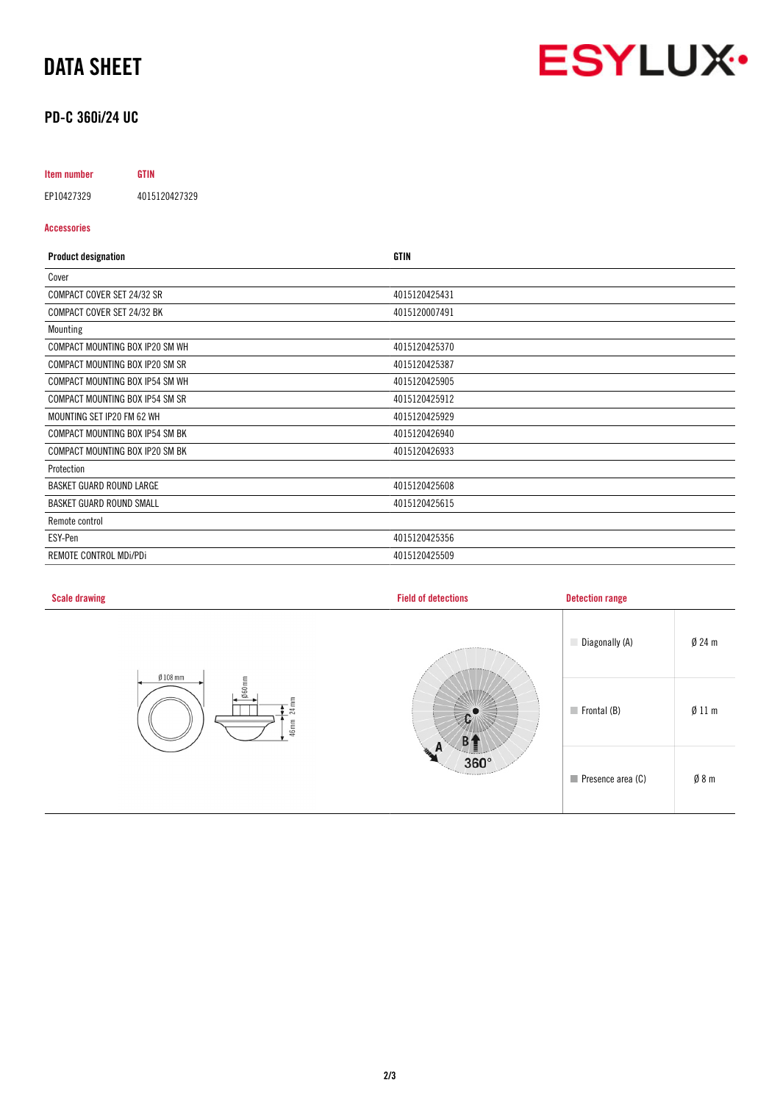## DATA SHEET



## PD-C 360i/24 UC

## Item number GTIN

EP10427329 4015120427329

### Accessories

| <b>Product designation</b>      | <b>GTIN</b>   |
|---------------------------------|---------------|
| Cover                           |               |
| COMPACT COVER SET 24/32 SR      | 4015120425431 |
| COMPACT COVER SET 24/32 BK      | 4015120007491 |
| Mounting                        |               |
| COMPACT MOUNTING BOX IP20 SM WH | 4015120425370 |
| COMPACT MOUNTING BOX IP20 SM SR | 4015120425387 |
| COMPACT MOUNTING BOX IP54 SM WH | 4015120425905 |
| COMPACT MOUNTING BOX IP54 SM SR | 4015120425912 |
| MOUNTING SET IP20 FM 62 WH      | 4015120425929 |
| COMPACT MOUNTING BOX IP54 SM BK | 4015120426940 |
| COMPACT MOUNTING BOX IP20 SM BK | 4015120426933 |
| Protection                      |               |
| <b>BASKET GUARD ROUND LARGE</b> | 4015120425608 |
| <b>BASKET GUARD ROUND SMALL</b> | 4015120425615 |
| Remote control                  |               |
| ESY-Pen                         | 4015120425356 |
| REMOTE CONTROL MDI/PDI          | 4015120425509 |

| <b>Scale drawing</b>                            | <b>Field of detections</b>                   | <b>Detection range</b>           |                 |
|-------------------------------------------------|----------------------------------------------|----------------------------------|-----------------|
| $Ø$ 108 mm<br>Ø60mm<br>$24 \text{ mm}$<br>46 mm | M.<br>n<br>$360^\circ$<br><b>Terry crest</b> | Diagonally (A)                   | $Ø$ 24 m        |
|                                                 |                                              | $\blacksquare$ Frontal (B)       | Ø11 m           |
|                                                 |                                              | $\blacksquare$ Presence area (C) | $\emptyset$ 8 m |